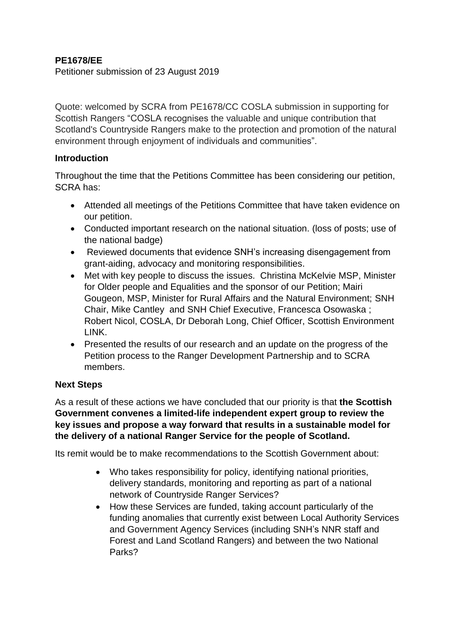## **PE1678/EE**

Petitioner submission of 23 August 2019

Quote: welcomed by SCRA from PE1678/CC COSLA submission in supporting for Scottish Rangers "COSLA recognises the valuable and unique contribution that Scotland's Countryside Rangers make to the protection and promotion of the natural environment through enjoyment of individuals and communities".

## **Introduction**

Throughout the time that the Petitions Committee has been considering our petition, SCRA has:

- Attended all meetings of the Petitions Committee that have taken evidence on our petition.
- Conducted important research on the national situation. (loss of posts; use of the national badge)
- Reviewed documents that evidence SNH's increasing disengagement from grant-aiding, advocacy and monitoring responsibilities.
- Met with key people to discuss the issues. Christina McKelvie MSP, Minister for Older people and Equalities and the sponsor of our Petition; Mairi Gougeon, MSP, Minister for Rural Affairs and the Natural Environment; SNH Chair, Mike Cantley and SNH Chief Executive, Francesca Osowaska ; Robert Nicol, COSLA, Dr Deborah Long, Chief Officer, Scottish Environment LINK.
- Presented the results of our research and an update on the progress of the Petition process to the Ranger Development Partnership and to SCRA members.

## **Next Steps**

As a result of these actions we have concluded that our priority is that **the Scottish Government convenes a limited-life independent expert group to review the key issues and propose a way forward that results in a sustainable model for the delivery of a national Ranger Service for the people of Scotland.** 

Its remit would be to make recommendations to the Scottish Government about:

- Who takes responsibility for policy, identifying national priorities, delivery standards, monitoring and reporting as part of a national network of Countryside Ranger Services?
- How these Services are funded, taking account particularly of the funding anomalies that currently exist between Local Authority Services and Government Agency Services (including SNH's NNR staff and Forest and Land Scotland Rangers) and between the two National Parks?